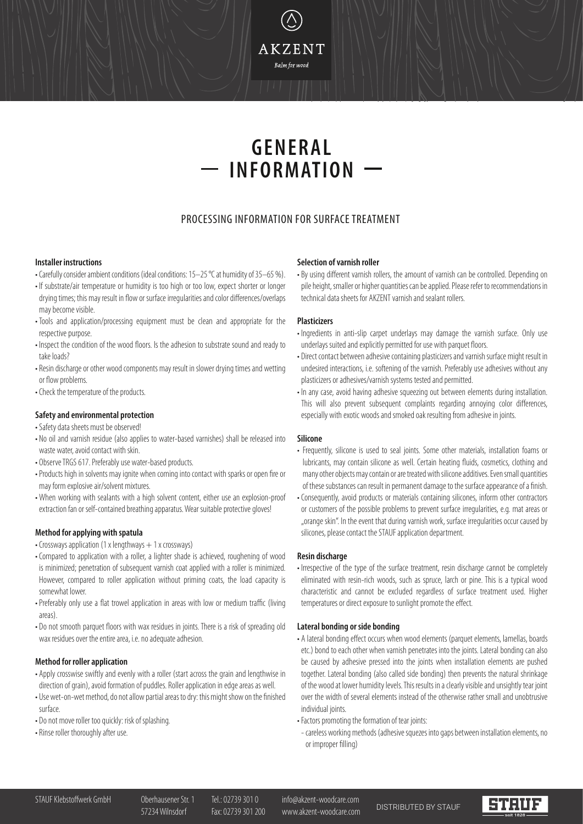## **AKZENT** .<br>Balm for wood

# **GENERAL INFORMATION**

### PROCESSING INFORMATION FOR SURFACE TREATMENT

#### **Installer instructions**

- Carefully consider ambient conditions (ideal conditions: 15–25 °C at humidity of 35–65 %).
- If substrate/air temperature or humidity is too high or too low, expect shorter or longer drying times; this may result in flow or surface irregularities and color differences/overlaps may become visible.
- Tools and application/processing equipment must be clean and appropriate for the respective purpose.
- Inspect the condition of the wood floors. Is the adhesion to substrate sound and ready to take loads?
- Resin discharge or other wood components may result in slower drying times and wetting or flow problems.
- Check the temperature of the products.

#### **Safety and environmental protection**

- •Safety data sheets must be observed!
- No oil and varnish residue (also applies to water-based varnishes) shall be released into waste water, avoid contact with skin.
- Observe TRGS 617. Preferably use water-based products.
- Products high in solvents may ignite when coming into contact with sparks or open fire or may form explosive air/solvent mixtures.
- When working with sealants with a high solvent content, either use an explosion-proof extraction fan or self-contained breathing apparatus. Wear suitable protective gloves!

#### **Method for applying with spatula**

- Crossways application (1 x lengthways  $+1$  x crossways)
- Compared to application with a roller, a lighter shade is achieved, roughening of wood is minimized; penetration of subsequent varnish coat applied with a roller is minimized. However, compared to roller application without priming coats, the load capacity is somewhat lower.
- Preferably only use a flat trowel application in areas with low or medium traffic (living areas).
- Do not smooth parquet floors with wax residues in joints. There is a risk of spreading old wax residues over the entire area, i.e. no adequate adhesion.

#### **Method for roller application**

- Apply crosswise swiftly and evenly with a roller (start across the grain and lengthwise in direction of grain), avoid formation of puddles. Roller application in edge areas as well.
- Use wet-on-wet method, do not allow partial areas to dry: this might show on the finished surface.
- Do not move roller too quickly: risk of splashing.
- •Rinse roller thoroughly after use.

#### **Selection of varnish roller**

• By using different varnish rollers, the amount of varnish can be controlled. Depending on pile height, smaller or higher quantities can be applied. Please refer to recommendations in technical data sheets for AKZENT varnish and sealant rollers.

#### **Plasticizers**

- Ingredients in anti-slip carpet underlays may damage the varnish surface. Only use underlays suited and explicitly permitted for use with parquet floors.
- Direct contact between adhesive containing plasticizers and varnish surface might result in undesired interactions, i.e. softening of the varnish. Preferably use adhesives without any plasticizers or adhesives/varnish systems tested and permitted.
- In any case, avoid having adhesive squeezing out between elements during installation. This will also prevent subsequent complaints regarding annoying color differences, especially with exotic woods and smoked oak resulting from adhesive in joints.

#### **Silicone**

- Frequently, silicone is used to seal joints. Some other materials, installation foams or lubricants, may contain silicone as well. Certain heating fluids, cosmetics, clothing and many other objects may contain or are treated with silicone additives. Even small quantities of these substances can result in permanent damage to the surface appearance of a finish.
- Consequently, avoid products or materials containing silicones, inform other contractors or customers of the possible problems to prevent surface irregularities, e.g. mat areas or "orange skin". In the event that during varnish work, surface irregularities occur caused by silicones, please contact the STAUF application department.

#### **Resin discharge**

• Irrespective of the type of the surface treatment, resin discharge cannot be completely eliminated with resin-rich woods, such as spruce, larch or pine. This is a typical wood characteristic and cannot be excluded regardless of surface treatment used. Higher temperatures or direct exposure to sunlight promote the effect.

#### **Lateral bonding or side bonding**

- A lateral bonding effect occurs when wood elements (parquet elements, lamellas, boards etc.) bond to each other when varnish penetrates into the joints. Lateral bonding can also be caused by adhesive pressed into the joints when installation elements are pushed together. Lateral bonding (also called side bonding) then prevents the natural shrinkage of the wood at lower humidity levels. This results in a clearly visible and unsightly tear joint over the width of several elements instead of the otherwise rather small and unobtrusive individual joints.
- Factors promoting the formation of tear joints:
- careless working methods (adhesive squezes into gaps between installation elements, no or improper filling)

57234 Wilnsdorf Fax: 02739 301 200 www.akzent-woodcare.com DISTRIBUTED BY STAUF

steur